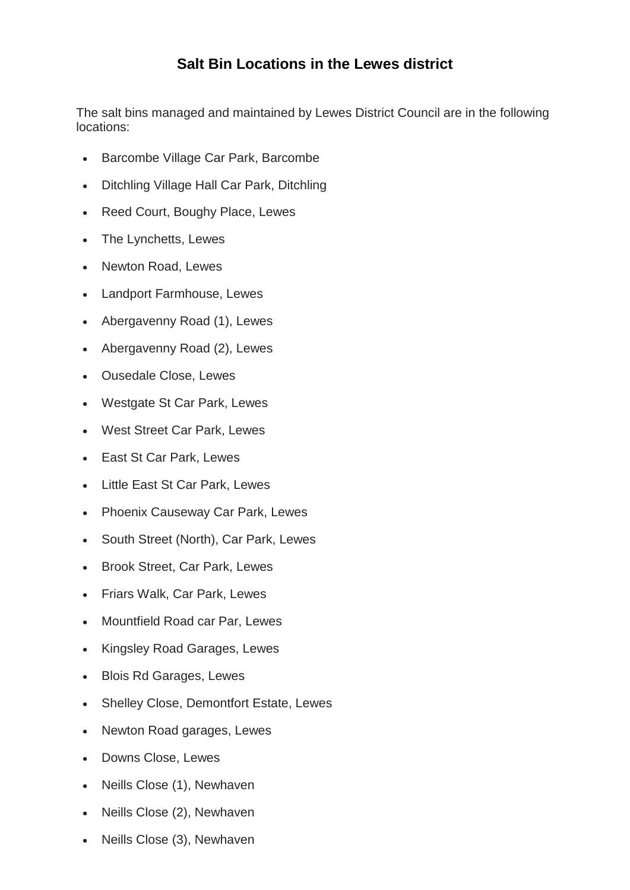## **Salt Bin Locations in the Lewes district**

The salt bins managed and maintained by Lewes District Council are in the following locations:

- Barcombe Village Car Park, Barcombe
- Ditchling Village Hall Car Park, Ditchling
- Reed Court, Boughy Place, Lewes
- The Lynchetts, Lewes
- Newton Road, Lewes
- Landport Farmhouse, Lewes
- Abergavenny Road (1), Lewes
- Abergavenny Road (2), Lewes
- Ousedale Close, Lewes
- Westgate St Car Park, Lewes
- West Street Car Park, Lewes
- East St Car Park, Lewes
- Little East St Car Park, Lewes
- Phoenix Causeway Car Park, Lewes
- South Street (North), Car Park, Lewes
- Brook Street, Car Park, Lewes
- Friars Walk, Car Park, Lewes
- Mountfield Road car Par, Lewes
- Kingsley Road Garages, Lewes
- Blois Rd Garages, Lewes
- Shelley Close, Demontfort Estate, Lewes
- Newton Road garages, Lewes
- Downs Close, Lewes
- Neills Close (1), Newhaven
- Neills Close (2), Newhaven
- Neills Close (3), Newhaven